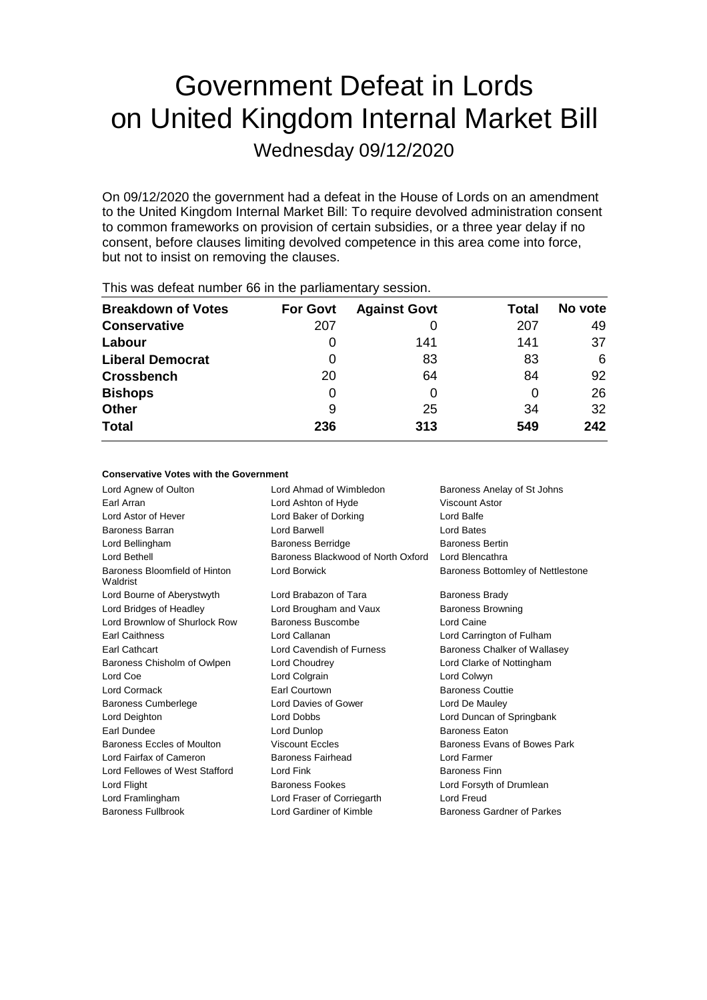# Government Defeat in Lords on United Kingdom Internal Market Bill

Wednesday 09/12/2020

On 09/12/2020 the government had a defeat in the House of Lords on an amendment to the United Kingdom Internal Market Bill: To require devolved administration consent to common frameworks on provision of certain subsidies, or a three year delay if no consent, before clauses limiting devolved competence in this area come into force, but not to insist on removing the clauses.

| <b>Breakdown of Votes</b> | <b>For Govt</b> | <b>Against Govt</b> | Total | No vote |
|---------------------------|-----------------|---------------------|-------|---------|
| <b>Conservative</b>       | 207             |                     | 207   | 49      |
| Labour                    | 0               | 141                 | 141   | 37      |
| <b>Liberal Democrat</b>   | 0               | 83                  | 83    | 6       |
| <b>Crossbench</b>         | 20              | 64                  | 84    | 92      |
| <b>Bishops</b>            | 0               | 0                   |       | 26      |
| <b>Other</b>              | 9               | 25                  | 34    | 32      |
| <b>Total</b>              | 236             | 313                 | 549   | 242     |
|                           |                 |                     |       |         |

This was defeat number 66 in the parliamentary session.

### **Conservative Votes with the Government**

| Lord Agnew of Oulton                      | Lord Ahmad of Wimbledon            | Baroness Anelay of St Johns       |  |
|-------------------------------------------|------------------------------------|-----------------------------------|--|
| Earl Arran                                | Lord Ashton of Hyde                | Viscount Astor                    |  |
| Lord Astor of Hever                       | Lord Baker of Dorking              | Lord Balfe                        |  |
| Baroness Barran                           | Lord Barwell                       | Lord Bates                        |  |
| Lord Bellingham                           | <b>Baroness Berridge</b>           | <b>Baroness Bertin</b>            |  |
| Lord Bethell                              | Baroness Blackwood of North Oxford | Lord Blencathra                   |  |
| Baroness Bloomfield of Hinton<br>Waldrist | Lord Borwick                       | Baroness Bottomley of Nettlestone |  |
| Lord Bourne of Aberystwyth                | Lord Brabazon of Tara              | <b>Baroness Brady</b>             |  |
| Lord Bridges of Headley                   | Lord Brougham and Vaux             | <b>Baroness Browning</b>          |  |
| Lord Brownlow of Shurlock Row             | <b>Baroness Buscombe</b>           | Lord Caine                        |  |
| <b>Earl Caithness</b>                     | Lord Callanan                      | Lord Carrington of Fulham         |  |
| Earl Cathcart                             | Lord Cavendish of Furness          | Baroness Chalker of Wallasey      |  |
| Baroness Chisholm of Owlpen               | Lord Choudrey                      | Lord Clarke of Nottingham         |  |
| Lord Coe                                  | Lord Colgrain                      | Lord Colwyn                       |  |
| Lord Cormack                              | Earl Courtown                      | <b>Baroness Couttie</b>           |  |
| <b>Baroness Cumberlege</b>                | Lord Davies of Gower               | Lord De Mauley                    |  |
| Lord Deighton                             | Lord Dobbs                         | Lord Duncan of Springbank         |  |
| Earl Dundee                               | Lord Dunlop                        | <b>Baroness Eaton</b>             |  |
| Baroness Eccles of Moulton                | <b>Viscount Eccles</b>             | Baroness Evans of Bowes Park      |  |
| Lord Fairfax of Cameron                   | <b>Baroness Fairhead</b>           | Lord Farmer                       |  |
| Lord Fellowes of West Stafford            | Lord Fink                          | <b>Baroness Finn</b>              |  |
| Lord Flight                               | <b>Baroness Fookes</b>             | Lord Forsyth of Drumlean          |  |
| Lord Framlingham                          | Lord Fraser of Corriegarth         | Lord Freud                        |  |
| <b>Baroness Fullbrook</b>                 | Lord Gardiner of Kimble            | <b>Baroness Gardner of Parkes</b> |  |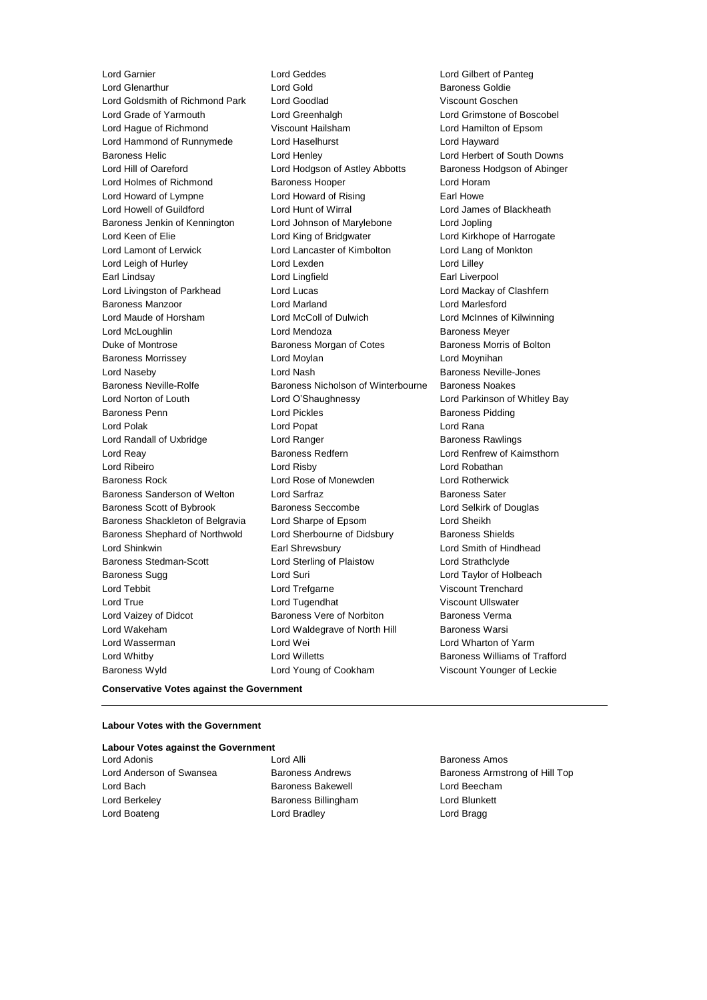Lord Garnier Lord Geddes Lord Gilbert of Panteg Lord Goldsmith of Richmond Park Lord Goodlad Viscount Goschen Lord Grade of Yarmouth Lord Greenhalgh Lord Grimstone of Boscobel Lord Hague of Richmond Viscount Hailsham Lord Hamilton of Epsom Lord Hammond of Runnymede Lord Haselhurst Lord Hayward Baroness Helic Lord Henley Lord Herbert of South Downs Lord Hill of Oareford Lord Hodgson of Astley Abbotts Baroness Hodgson of Abinger Lord Holmes of Richmond Baroness Hooper **Lord Horam** Lord Howard of Lympne Lord Howard of Rising Earl Howe Lord Howell of Guildford Lord Hunt of Wirral Lord James of Blackheath Baroness Jenkin of Kennington Lord Johnson of Marylebone Lord Jopling Lord Keen of Elie Lord King of Bridgwater Lord Kirkhope of Harrogate Lord Lamont of Lerwick Lord Lancaster of Kimbolton Lord Lang of Monkton Lord Leigh of Hurley Lord Lexden Lord Lilley Earl Lindsay Lord Lingfield Earl Liverpool Lord Livingston of Parkhead Lord Lucas Lord Mackay of Clashfern Baroness Manzoor Lord Marland Lord Marlesford Lord Maude of Horsham Lord McColl of Dulwich Lord McInnes of Kilwinning Lord McLoughlin **Lord Mendoza Baroness Meyer** Duke of Montrose Baroness Morgan of Cotes Baroness Morris of Bolton Baroness Morrissey **Lord Moylan** Lord Moylan Lord Moynihan Lord Naseby **Lord Nash Baroness Neville-Jones** Lord Nash Baroness Neville-Jones Baroness Neville-Rolfe **Baroness Nicholson of Winterbourne** Baroness Noakes Lord Norton of Louth Lord O'Shaughnessy Lord Parkinson of Whitley Bay Baroness Penn **Baroness Pidding** Lord Pickles **Baroness Pidding** Baroness Pidding Lord Polak Lord Popat Lord Rana Lord Randall of Uxbridge **Lord Ranger** Lord Ranger **Baroness Rawlings** Lord Reay **Baroness Redfern Baroness Redfern** Lord Renfrew of Kaimsthorn Lord Ribeiro Lord Risby Lord Robathan Baroness Rock Lord Rose of Monewden Lord Rotherwick Baroness Sanderson of Welton Lord Sarfraz **Baroness Sater** Baroness Sater Baroness Scott of Bybrook Baroness Seccombe Lord Selkirk of Douglas Baroness Shackleton of Belgravia Lord Sharpe of Epsom Lord Sheikh Baroness Shephard of Northwold Lord Sherbourne of Didsbury Baroness Shields Lord Shinkwin Earl Shrewsbury Lord Smith of Hindhead Baroness Stedman-Scott **Lord Sterling of Plaistow** Lord Strathclyde Baroness Sugg **Lord Suri Lord Suri Lord Taylor of Holbeach** Lord Tebbit Lord Trefgarne Viscount Trenchard Lord True Lord Tugendhat Viscount Ullswater Lord Vaizey of Didcot **Baroness Vere of Norbiton** Baroness Verma Lord Wakeham **Lord Waldegrave of North Hill** Baroness Warsi Lord Wasserman **Lord Wei** Lord Wei **Lord Wharton of Yarm** Lord Whitby **Lord Willetts Baroness Williams of Trafford Lord Willetts Baroness Williams of Trafford** Baroness Wyld Lord Young of Cookham Viscount Younger of Leckie

Baroness Goldie

### **Conservative Votes against the Government**

#### **Labour Votes with the Government**

**Labour Votes against the Government** Lord Adonis **Lord Alli** Lord Alli **Baroness Amos** 

- Lord Bach **Baroness Bakewell** Lord Beecham Lord Berkeley **Baroness Billingham** Lord Blunkett Lord Boateng Lord Bradley Lord Bragg
- 

Lord Anderson of Swansea **Baroness Andrews** Baroness Andrews Baroness Armstrong of Hill Top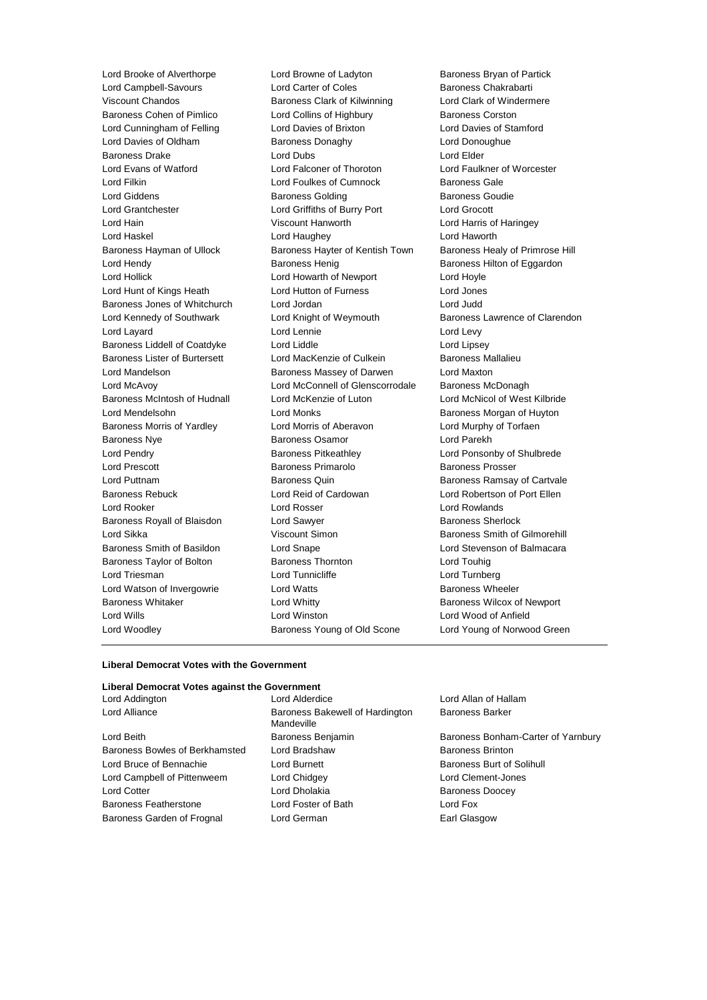Lord Woodley Baroness Young of Old Scone Lord Young of Norwood Green

Lord Brooke of Alverthorpe Lord Browne of Ladyton Baroness Bryan of Partick Lord Campbell-Savours Lord Carter of Coles Baroness Chakrabarti Viscount Chandos Baroness Clark of Kilwinning Lord Clark of Windermere Baroness Cohen of Pimlico **Lord Collins of Highbury** Baroness Corston Lord Cunningham of Felling Lord Davies of Brixton Lord Davies of Stamford Lord Davies of Oldham Baroness Donaghy Baroness Donaghue Baroness Drake Lord Dubs Lord Elder Lord Evans of Watford Lord Falconer of Thoroton Lord Faulkner of Worcester Lord Filkin **Lord Foulkes of Cumnock** Baroness Gale Lord Giddens **Baroness Golding** Baroness Golding Baroness Goudie Lord Grantchester Lord Griffiths of Burry Port Lord Grocott Lord Hain Viscount Hanworth Lord Harris of Haringey Lord Haskel Lord Haughey Lord Haworth Baroness Hayman of Ullock Baroness Hayter of Kentish Town Baroness Healy of Primrose Hill Lord Hendy **Baroness Henig** Baroness Henig Baroness Hilton of Eggardon Lord Hollick Lord Howarth of Newport Lord Hoyle Lord Hunt of Kings Heath Lord Hutton of Furness Lord Jones Baroness Jones of Whitchurch Lord Jordan Lord Judd Lord Kennedy of Southwark Lord Knight of Weymouth Baroness Lawrence of Clarendon Lord Layard **Lord Lennie** Lord Lennie **Lord Levy** Baroness Liddell of Coatdyke Lord Liddle Lord Linsey Baroness Lister of Burtersett Lord MacKenzie of Culkein Baroness Mallalieu Lord Mandelson Baroness Massey of Darwen Lord Maxton Lord McAvoy Lord McConnell of Glenscorrodale Baroness McDonagh Baroness McIntosh of Hudnall Lord McKenzie of Luton Lord McNicol of West Kilbride Lord Mendelsohn **Lord Monks Lord Monks** Baroness Morgan of Huyton Baroness Morris of Yardley Lord Morris of Aberavon Lord Murphy of Torfaen Baroness Nye Baroness Osamor Lord Parekh Lord Pendry **Baroness Pitkeathley Baroness Pitkeathley Lord Ponsonby of Shulbrede** Lord Prescott **Baroness Primarolo** Baroness Prosser Lord Puttnam **Baroness Quin** Baroness Quin Baroness Ramsay of Cartvale Baroness Rebuck Lord Reid of Cardowan Lord Robertson of Port Ellen Lord Rooker Lord Rosser Lord Rowlands Baroness Royall of Blaisdon **Lord Sawyer Baroness Sherlock** Lord Sikka **Viscount Simon** Baroness Smith of Gilmorehill Baroness Smith of Basildon Lord Snape Lord Stevenson of Balmacara Baroness Taylor of Bolton **Baroness Thornton** Baroness Thornton Lord Touhig Lord Triesman **Lord Tunnicliffe** Lord Tunnicliffe Lord Turnberg Lord Watson of Invergowrie **Lord Watts Baroness Wheeler** Baroness Wheeler Baroness Whitaker **Lord Whitty Example 20 and American** Baroness Wilcox of Newport Lord Wills Lord Winston Lord Wood of Anfield

#### **Liberal Democrat Votes with the Government**

### **Liberal Democrat Votes against the Government**

| LUIU AUUIIIUIUII               | Luiu Aiuuiuu                                  | LUIU AIIU       |
|--------------------------------|-----------------------------------------------|-----------------|
| Lord Alliance                  | Baroness Bakewell of Hardington<br>Mandeville | <b>Baroness</b> |
| Lord Beith                     | Baroness Benjamin                             | <b>Baroness</b> |
| Baroness Bowles of Berkhamsted | Lord Bradshaw                                 | <b>Baroness</b> |
| Lord Bruce of Bennachie        | Lord Burnett                                  | <b>Baroness</b> |
| Lord Campbell of Pittenweem    | Lord Chidgey                                  | Lord Cler       |
| <b>Lord Cotter</b>             | Lord Dholakia                                 | <b>Baroness</b> |
| <b>Baroness Featherstone</b>   | Lord Foster of Bath                           | Lord Fox        |
| Baroness Garden of Frognal     | Lord German                                   | Earl Glas       |
|                                |                                               |                 |

Lord Allan of Hallam Baroness Barker

nin Baroness Bonham-Carter of Yarnbury Baroness Brinton Baroness Burt of Solihull Lord Clement-Jones Baroness Doocey Earl Glasgow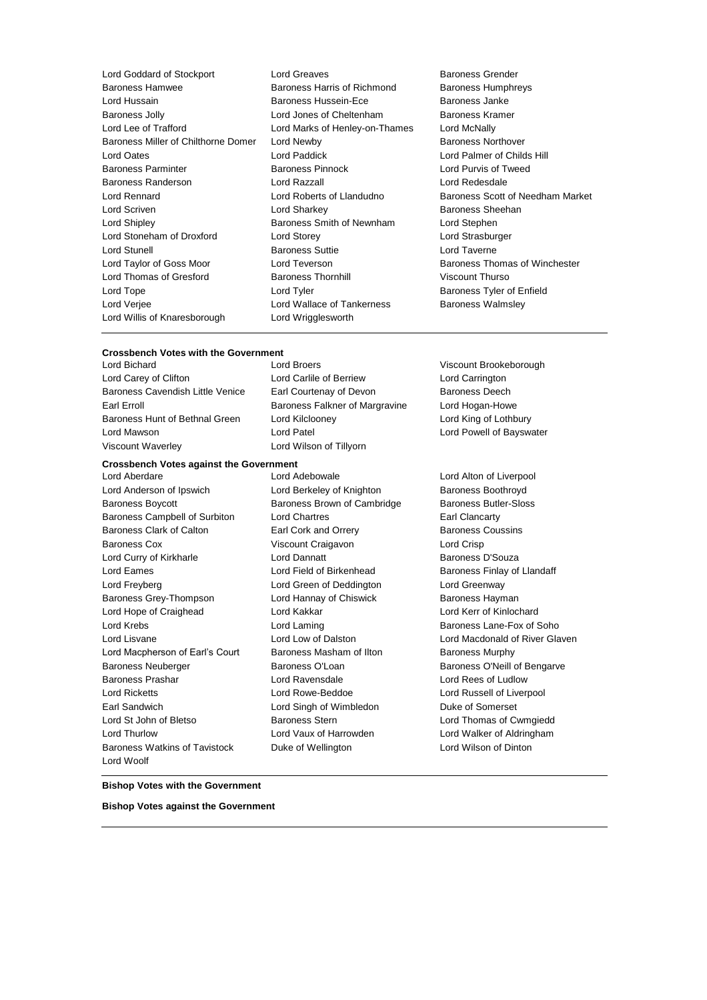| Lord Goddard of Stockport           |
|-------------------------------------|
| <b>Baroness Hamwee</b>              |
| Lord Hussain                        |
| <b>Baroness Jolly</b>               |
| Lord Lee of Trafford                |
| Baroness Miller of Chilthorne Domer |
| Lord Oates                          |
| <b>Baroness Parminter</b>           |
| Baroness Randerson                  |
| Lord Rennard                        |
| Lord Scriven                        |
| Lord Shipley                        |
| Lord Stoneham of Droxford           |
| <b>Lord Stunell</b>                 |
| Lord Taylor of Goss Moor            |
| Lord Thomas of Gresford             |
| Lord Tope                           |
| Lord Verjee                         |
| Lord Willis of Knaresborough        |

Lord Greaves **Baroness** Grender Baroness Harris of Richmond Baroness Humphreys Baroness Hussein-Ece Baroness Janke Lord Jones of Cheltenham Baroness Kramer Lord Marks of Henley-on-Thames Lord McNally Lord Newby **Baroness Northover** Lord Paddick **Lord Palmer of Childs Hill** Baroness Pinnock Lord Purvis of Tweed Lord Razzall **Lord Redesdale** Lord Sharkey **Baroness** Sheehan Baroness Smith of Newnham Lord Stephen Lord Storey **Lord Strasburger** Baroness Suttie Lord Taverne Lord Teverson **Example 20 Search Accept Moore Constructs** Baroness Thomas of Winchester Baroness Thornhill Viscount Thurso Lord Tyler **Lord Tyler Communist Control** Baroness Tyler of Enfield Lord Wallace of Tankerness **Baroness Walmsley** Lord Wrigglesworth

Lord Roberts of Llandudno Baroness Scott of Needham Market

### **Crossbench Votes with the Government<br>Lord Bichard Lord Broers**

Lord Carey of Clifton Lord Carlile of Berriew Lord Carrington Baroness Cavendish Little Venice Earl Courtenay of Devon Baroness Deech Earl Erroll **Example 2** Earl Erroll Baroness Falkner of Margravine Lord Hogan-Howe Baroness Hunt of Bethnal Green Lord Kilclooney Lord King of Lothbury Lord Mawson **Lord Patel Lord Patel** Lord Patel **Lord Communist Communist Communist Communist Communist Communist Communist Communist Communist Communist Communist Communist Communist Communist Communist Communist Communist** Viscount Waverley Lord Wilson of Tillyorn

## **Crossbench Votes against the Government**

Lord Anderson of Ipswich **Lord Berkeley of Knighton** Baroness Boothroyd Baroness Boycott Baroness Brown of Cambridge Baroness Butler-Sloss Baroness Campbell of Surbiton Lord Chartres Earl Clancarty Baroness Clark of Calton **Earl Cork and Orrery Earl Baroness Coussins** Baroness Cox Viscount Craigavon Lord Crisp Lord Curry of Kirkharle **Lord Dannatt Lord Dannatt** Baroness D'Souza Lord Eames **Lord Field of Birkenhead** Baroness Finlay of Llandaff Lord Freyberg Lord Green of Deddington Lord Greenway Baroness Grey-Thompson **Lord Hannay of Chiswick** Baroness Hayman Lord Hope of Craighead Lord Kakkar Lord Kerr of Kinlochard Lord Krebs **Lange Lord Laming Lord Laming Baroness Lane-Fox of Soho** Lord Lisvane Lord Low of Dalston Lord Macdonald of River Glaven Lord Macpherson of Earl's Court Baroness Masham of Ilton Baroness Murphy Baroness Neuberger **Baroness O'Loan** Baroness O'Loan Baroness O'Neill of Bengarve Baroness Prashar Lord Ravensdale Lord Rees of Ludlow Lord Ricketts Lord Rowe-Beddoe Lord Russell of Liverpool Earl Sandwich Lord Singh of Wimbledon Duke of Somerset Lord St John of Bletso Baroness Stern Lord Thomas of Cwmgiedd Lord Thurlow Lord Vaux of Harrowden Lord Walker of Aldringham Baroness Watkins of Tavistock Duke of Wellington Lord Wilson of Dinton Lord Woolf

- 
- Viscount Brookeborough

Lord Alton of Liverpool

### **Bishop Votes with the Government**

**Bishop Votes against the Government**